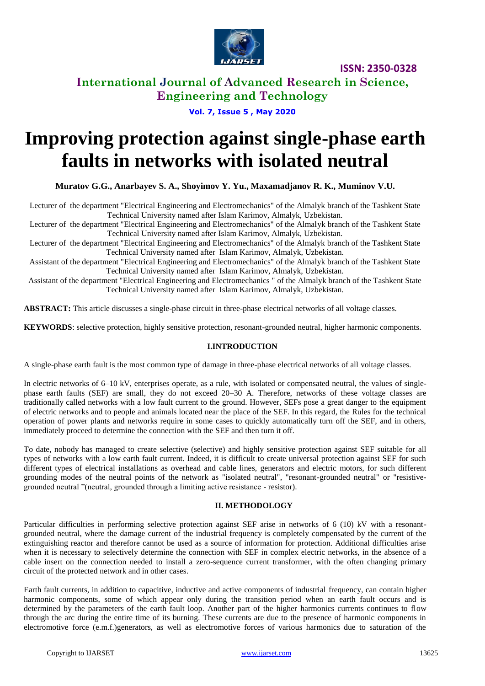

**International Journal of Advanced Research in Science, Engineering and Technology**

**Vol. 7, Issue 5 , May 2020**

# **Improving protection against single-phase earth faults in networks with isolated neutral**

**Muratov G.G., Anarbayev S. A., Shoyimov Y. Yu., Maxamadjanov R. K., Muminov V.U.**

Lecturer of the department "Electrical Engineering and Electromechanics" of the Almalyk branch of the Tashkent State Technical University named after Islam Karimov, Almalyk, Uzbekistan.

Lecturer of the department "Electrical Engineering and Electromechanics" of the Almalyk branch of the Tashkent State Technical University named after Islam Karimov, Almalyk, Uzbekistan.

Lecturer of the department "Electrical Engineering and Electromechanics" of the Almalyk branch of the Tashkent State Technical University named after Islam Karimov, Almalyk, Uzbekistan.

Assistant of the department "Electrical Engineering and Electromechanics" of the Almalyk branch of the Tashkent State Technical University named after Islam Karimov, Almalyk, Uzbekistan.

Assistant of the department "Electrical Engineering and Electromechanics " of the Almalyk branch of the Tashkent State Technical University named after Islam Karimov, Almalyk, Uzbekistan.

**ABSTRACT:** This article discusses a single-phase circuit in three-phase electrical networks of all voltage classes.

**KEYWORDS**: selective protection, highly sensitive protection, resonant-grounded neutral, higher harmonic components.

#### **I.INTRODUCTION**

A single-phase earth fault is the most common type of damage in three-phase electrical networks of all voltage classes.

In electric networks of 6–10 kV, enterprises operate, as a rule, with isolated or compensated neutral, the values of singlephase earth faults (SEF) are small, they do not exceed 20–30 A. Therefore, networks of these voltage classes are traditionally called networks with a low fault current to the ground. However, SEFs pose a great danger to the equipment of electric networks and to people and animals located near the place of the SEF. In this regard, the Rules for the technical operation of power plants and networks require in some cases to quickly automatically turn off the SEF, and in others, immediately proceed to determine the connection with the SEF and then turn it off.

To date, nobody has managed to create selective (selective) and highly sensitive protection against SEF suitable for all types of networks with a low earth fault current. Indeed, it is difficult to create universal protection against SEF for such different types of electrical installations as overhead and cable lines, generators and electric motors, for such different grounding modes of the neutral points of the network as "isolated neutral", "resonant-grounded neutral" or "resistivegrounded neutral "(neutral, grounded through a limiting active resistance - resistor).

#### **II. METHODOLOGY**

Particular difficulties in performing selective protection against SEF arise in networks of 6 (10) kV with a resonantgrounded neutral, where the damage current of the industrial frequency is completely compensated by the current of the extinguishing reactor and therefore cannot be used as a source of information for protection. Additional difficulties arise when it is necessary to selectively determine the connection with SEF in complex electric networks, in the absence of a cable insert on the connection needed to install a zero-sequence current transformer, with the often changing primary circuit of the protected network and in other cases.

Earth fault currents, in addition to capacitive, inductive and active components of industrial frequency, can contain higher harmonic components, some of which appear only during the transition period when an earth fault occurs and is determined by the parameters of the earth fault loop. Another part of the higher harmonics currents continues to flow through the arc during the entire time of its burning. These currents are due to the presence of harmonic components in electromotive force (e.m.f.)generators, as well as electromotive forces of various harmonics due to saturation of the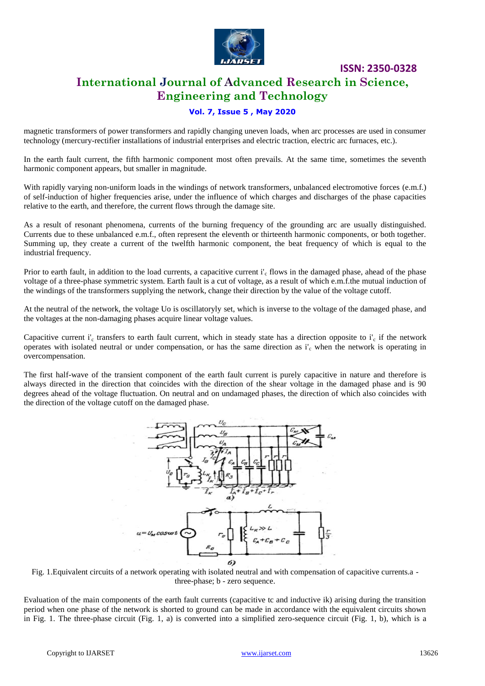

## **International Journal of Advanced Research in Science, Engineering and Technology**

#### **Vol. 7, Issue 5 , May 2020**

magnetic transformers of power transformers and rapidly changing uneven loads, when arc processes are used in consumer technology (mercury-rectifier installations of industrial enterprises and electric traction, electric arc furnaces, etc.).

In the earth fault current, the fifth harmonic component most often prevails. At the same time, sometimes the seventh harmonic component appears, but smaller in magnitude.

With rapidly varying non-uniform loads in the windings of network transformers, unbalanced electromotive forces (e.m.f.) of self-induction of higher frequencies arise, under the influence of which charges and discharges of the phase capacities relative to the earth, and therefore, the current flows through the damage site.

As a result of resonant phenomena, currents of the burning frequency of the grounding arc are usually distinguished. Currents due to these unbalanced e.m.f., often represent the eleventh or thirteenth harmonic components, or both together. Summing up, they create a current of the twelfth harmonic component, the beat frequency of which is equal to the industrial frequency.

Prior to earth fault, in addition to the load currents, a capacitive current  $i'_{c}$  flows in the damaged phase, ahead of the phase voltage of a three-phase symmetric system. Earth fault is a cut of voltage, as a result of which e.m.f.the mutual induction of the windings of the transformers supplying the network, change their direction by the value of the voltage cutoff.

At the neutral of the network, the voltage Uo is oscillatoryly set, which is inverse to the voltage of the damaged phase, and the voltages at the non-damaging phases acquire linear voltage values.

Capacitive current i'<sub>c</sub> transfers to earth fault current, which in steady state has a direction opposite to i'<sub>c</sub> if the network operates with isolated neutral or under compensation, or has the same direction as  $i'_{c}$  when the network is operating in overcompensation.

The first half-wave of the transient component of the earth fault current is purely capacitive in nature and therefore is always directed in the direction that coincides with the direction of the shear voltage in the damaged phase and is 90 degrees ahead of the voltage fluctuation. On neutral and on undamaged phases, the direction of which also coincides with the direction of the voltage cutoff on the damaged phase.



Fig. 1.Equivalent circuits of a network operating with isolated neutral and with compensation of capacitive currents.a three-phase; b - zero sequence.

Evaluation of the main components of the earth fault currents (capacitive tc and inductive ik) arising during the transition period when one phase of the network is shorted to ground can be made in accordance with the equivalent circuits shown in Fig. 1. The three-phase circuit (Fig. 1, a) is converted into a simplified zero-sequence circuit (Fig. 1, b), which is a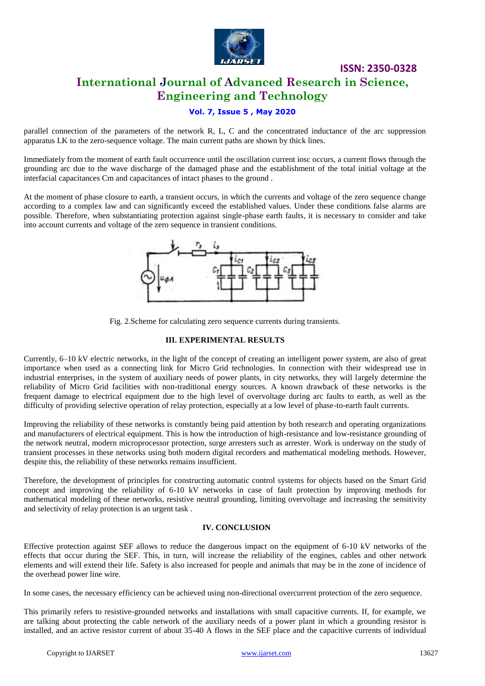

# **International Journal of Advanced Research in Science, Engineering and Technology**

**ISSN: 2350-0328**

### **Vol. 7, Issue 5 , May 2020**

parallel connection of the parameters of the network R, L, C and the concentrated inductance of the arc suppression apparatus LK to the zero-sequence voltage. The main current paths are shown by thick lines.

Immediately from the moment of earth fault occurrence until the oscillation current iosc occurs, a current flows through the grounding arc due to the wave discharge of the damaged phase and the establishment of the total initial voltage at the interfacial capacitances Cm and capacitances of intact phases to the ground .

At the moment of phase closure to earth, a transient occurs, in which the currents and voltage of the zero sequence change according to a complex law and can significantly exceed the established values. Under these conditions false alarms are possible. Therefore, when substantiating protection against single-phase earth faults, it is necessary to consider and take into account currents and voltage of the zero sequence in transient conditions.



Fig. 2.Scheme for calculating zero sequence currents during transients.

#### **III. EXPERIMENTAL RESULTS**

Currently, 6–10 kV electric networks, in the light of the concept of creating an intelligent power system, are also of great importance when used as a connecting link for Micro Grid technologies. In connection with their widespread use in industrial enterprises, in the system of auxiliary needs of power plants, in city networks, they will largely determine the reliability of Micro Grid facilities with non-traditional energy sources. A known drawback of these networks is the frequent damage to electrical equipment due to the high level of overvoltage during arc faults to earth, as well as the difficulty of providing selective operation of relay protection, especially at a low level of phase-to-earth fault currents.

Improving the reliability of these networks is constantly being paid attention by both research and operating organizations and manufacturers of electrical equipment. This is how the introduction of high-resistance and low-resistance grounding of the network neutral, modern microprocessor protection, surge arresters such as arrester. Work is underway on the study of transient processes in these networks using both modern digital recorders and mathematical modeling methods. However, despite this, the reliability of these networks remains insufficient.

Therefore, the development of principles for constructing automatic control systems for objects based on the Smart Grid concept and improving the reliability of 6-10 kV networks in case of fault protection by improving methods for mathematical modeling of these networks, resistive neutral grounding, limiting overvoltage and increasing the sensitivity and selectivity of relay protection is an urgent task .

#### **IV. CONCLUSION**

Effective protection against SEF allows to reduce the dangerous impact on the equipment of 6-10 kV networks of the effects that occur during the SEF. This, in turn, will increase the reliability of the engines, cables and other network elements and will extend their life. Safety is also increased for people and animals that may be in the zone of incidence of the overhead power line wire.

In some cases, the necessary efficiency can be achieved using non-directional overcurrent protection of the zero sequence.

This primarily refers to resistive-grounded networks and installations with small capacitive currents. If, for example, we are talking about protecting the cable network of the auxiliary needs of a power plant in which a grounding resistor is installed, and an active resistor current of about 35-40 A flows in the SEF place and the capacitive currents of individual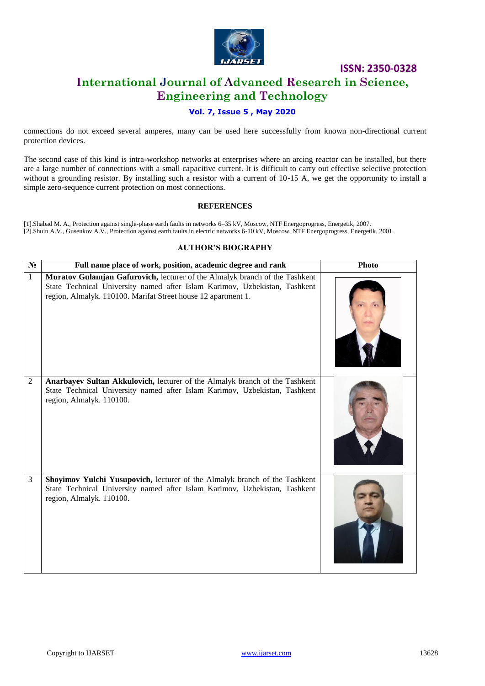

# **International Journal of Advanced Research in Science, Engineering and Technology**

### **Vol. 7, Issue 5 , May 2020**

connections do not exceed several amperes, many can be used here successfully from known non-directional current protection devices.

The second case of this kind is intra-workshop networks at enterprises where an arcing reactor can be installed, but there are a large number of connections with a small capacitive current. It is difficult to carry out effective selective protection without a grounding resistor. By installing such a resistor with a current of 10-15 A, we get the opportunity to install a simple zero-sequence current protection on most connections.

#### **REFERENCES**

[1].Shabad M. A., Protection against single-phase earth faults in networks 6–35 kV, Moscow, NTF Energoprogress, Energetik, 2007. [2].Shuin A.V., Gusenkov A.V., Protection against earth faults in electric networks 6-10 kV, Moscow, NTF Energoprogress, Energetik, 2001.

#### **AUTHOR'S BIOGRAPHY**

| $N_2$          | Full name place of work, position, academic degree and rank                                                                                                                                                                | <b>Photo</b> |
|----------------|----------------------------------------------------------------------------------------------------------------------------------------------------------------------------------------------------------------------------|--------------|
| $\mathbf{1}$   | Muratov Gulamjan Gafurovich, lecturer of the Almalyk branch of the Tashkent<br>State Technical University named after Islam Karimov, Uzbekistan, Tashkent<br>region, Almalyk. 110100. Marifat Street house 12 apartment 1. |              |
| $\overline{2}$ | Anarbayev Sultan Akkulovich, lecturer of the Almalyk branch of the Tashkent<br>State Technical University named after Islam Karimov, Uzbekistan, Tashkent<br>region, Almalyk. 110100.                                      |              |
| 3              | Shoyimov Yulchi Yusupovich, lecturer of the Almalyk branch of the Tashkent<br>State Technical University named after Islam Karimov, Uzbekistan, Tashkent<br>region, Almalyk. 110100.                                       |              |